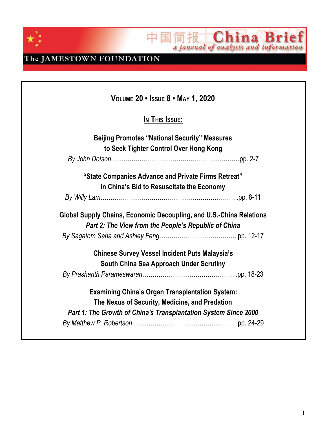

中国简报 China Brief

The JAMESTOWN FOUNDATION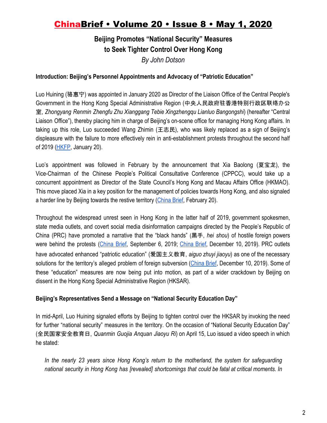### **Beijing Promotes "National Security" Measures to Seek Tighter Control Over Hong Kong** *By John Dotson*

### **Introduction: Beijing's Personnel Appointments and Advocacy of "Patriotic Education"**

Luo Huining (骆惠宁) was appointed in January 2020 as Director of the Liaison Office of the Central People's Government in the Hong Kong Special Administrative Region (中央人民政府驻香港特别行政区联络办公 室, *Zhongyang Renmin Zhengfu Zhu Xianggang Tebie Xingzhengqu Lianluo Bangongshi*) (hereafter "Central Liaison Office"), thereby placing him in charge of Beijing's on-scene office for managing Hong Kong affairs. In taking up this role, Luo succeeded Wang Zhimin (王志民), who was likely replaced as a sign of Beijing's displeasure with the failure to more effectively rein in anti-establishment protests throughout the second half of 2019 ([HKFP](https://hongkongfp.com/2020/01/20/beijings-new-man-hong-kong-luo-huining-stumps-pundits-will-nasty-nice/), January 20).

Luo's appointment was followed in February by the announcement that Xia Baolong (夏宝龙), the Vice-Chairman of the Chinese People's Political Consultative Conference (CPPCC), would take up a concurrent appointment as Director of the State Council's Hong Kong and Macau Affairs Office (HKMAO). This move placed Xia in a key position for the management of policies towards Hong Kong, and also signaled a harder line by Beijing towards the restive territory ([China Brief,](https://jamestown.org/program/beijings-appointment-of-xia-baolong-signals-a-harder-line-on-hong-kong/) February 20).

Throughout the widespread unrest seen in Hong Kong in the latter half of 2019, government spokesmen, state media outlets, and covert social media disinformation campaigns directed by the People's Republic of China (PRC) have promoted a narrative that the "black hands" (黑手, *hei shou*) of hostile foreign powers were behind the protests ([China](https://jamestown.org/program/beijings-reactions-to-november-developments-surrounding-the-crisis-in-hong-kong/) Brief, September 6, 2019[;](https://jamestown.org/program/beijings-reactions-to-november-developments-surrounding-the-crisis-in-hong-kong/) China Brief, December 10, 2019). PRC outlets have advocated enhanced "patriotic education" (爱国主义教育, *aiguo zhuyi jiaoyu*) as one of the necessary solutions for the territory's alleged problem of foreign subversion ([China](https://jamestown.org/program/the-ccps-renewed-focus-on-ideological-indoctrination-part-1-the-2019-guidelines-for-patriotic-education/) Brief, December 10, 2019). Some of these "education" measures are now being put into motion, as part of a wider crackdown by Beijing on dissent in the Hong Kong Special Administrative Region (HKSAR).

### **Beijing's Representatives Send a Message on "National Security Education Day"**

In mid-April, Luo Huining signaled efforts by Beijing to tighten control over the HKSAR by invoking the need for further "national security" measures in the territory. On the occasion of "National Security Education Day" (全民国家安全教育日, *Quanmin Guojia Anquan Jiaoyu Ri*) on April 15, Luo issued a video speech in which he stated:

*In the nearly 23 years since Hong Kong's return to the motherland, the system for safeguarding national security in Hong Kong has [revealed] shortcomings that could be fatal at critical moments. In*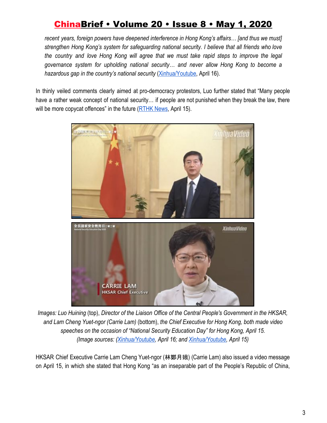*recent years, foreign powers have deepened interference in Hong Kong's affairs… [and thus we must] strengthen Hong Kong's system for safeguarding national security. I believe that all friends who love the country and love Hong Kong will agree that we must take rapid steps to improve the legal governance system for upholding national security… and never allow Hong Kong to become a hazardous gap in the country's national security* ([Xinhua/Youtube,](https://www.youtube.com/watch?v=aZMi02NJHp8) April 16).

In thinly veiled comments clearly aimed at pro-democracy protestors, Luo further stated that "Many people have a rather weak concept of national security... if people are not punished when they break the law, there will be more copycat offences" in the future [\(RTHK News](https://news.rthk.hk/rthk/en/component/k2/1520687-20200415.htm), April 15).



*Images: Luo Huining* (top), *Director of the Liaison Office of the Central People's Government in the HKSAR, and Lam Cheng Yuet-ngor (Carrie Lam)* (bottom), *the Chief Executive for Hong Kong, both made video speeches on the occasion of "National Security Education Day" for Hong Kong, April 15. (Image sources: [\(Xinhua/Youtube](https://www.youtube.com/watch?v=aZMi02NJHp8), April 16; and [Xinhua/Youtube,](https://www.youtube.com/watch?v=acQghH6EN-k) April 15)*

HKSAR Chief Executive Carrie Lam Cheng Yuet-ngor (林鄭月娥) (Carrie Lam) also issued a video message on April 15, in which she stated that Hong Kong "as an inseparable part of the People's Republic of China,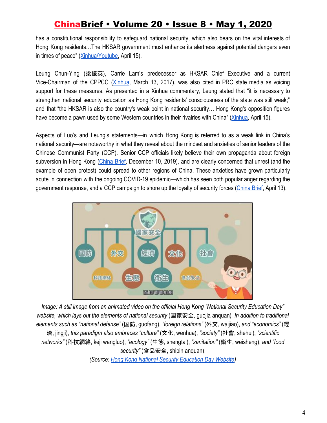has a constitutional responsibility to safeguard national security, which also bears on the vital interests of Hong Kong residents…The HKSAR government must enhance its alertness against potential dangers even in times of peace" ([Xinhua/Youtube](https://www.youtube.com/watch?v=acQghH6EN-k), April 15).

Leung Chun-Ying (梁振英), Carrie Lam's predecessor as HKSAR Chief Executive and a current Vice-Chairman of the CPPCC ([Xinhua](http://www.xinhuanet.com/english/2017-03/13/c_136124444.htm), March 13, 2017), was also cited in PRC state media as voicing support for these measures. As presented in a Xinhua commentary, Leung stated that "it is necessary to strengthen national security education as Hong Kong residents' consciousness of the state was still weak;" and that "the HKSAR is also the country's weak point in national security… Hong Kong's opposition figures have become a pawn used by some Western countries in their rivalries with China" ([Xinhua](http://www.china.org.cn/china/2020-04/15/content_75934828.htm), April 15).

Aspects of Luo's and Leung's statements—in which Hong Kong is referred to as a weak link in China's national security—are noteworthy in what they reveal about the mindset and anxieties of senior leaders of the Chinese Communist Party (CCP). Senior CCP officials likely believe their own propaganda about foreign subversion in Hong Kong ([China](https://jamestown.org/program/beijings-reactions-to-november-developments-surrounding-the-crisis-in-hong-kong/) Brief, December 10, 2019), and are clearly concerned that unrest (and the example of open protest) could spread to other regions of China. These anxieties have grown particularly acute in connection with the ongoing COVID-19 epidemic—which has seen both popular anger regarding the government response, and a CCP campaign to shore up the loyalty of security forces [\(China Brief](https://jamestown.org/program/epidemic-related-unrest-and-the-ccps-reinforced-political-loyalty-indoctrination-for-chinas-police/), April 13).



*Image: A still image from an animated video on the official Hong Kong "National Security Education Day" website, which lays out the elements of national security* (国家安全, guojia anquan)*. In addition to traditional elements such as "national defense"* (国防, guofang), *"foreign relations"* (外交, waijiao), *and "economics"* (經 濟, jingji), *this paradigm also embraces "culture"* (文化, wenhua), *"society"* (社會, shehui), *"scientific networks"* (科技網絡, keji wangluo), *"ecology"* (生態, shengtai), *"sanitation"* (衛生, weisheng), *and "food security"* (食品安全, shipin anquan).

*(Source: [Hong Kong National Security Education Day Website\)](https://www.nsedhk.com/)*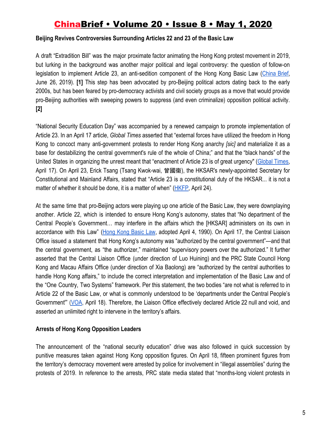### **Beijing Revives Controversies Surrounding Articles 22 and 23 of the Basic Law**

A draft "Extradition Bill" was the major proximate factor animating the Hong Kong protest movement in 2019, but lurking in the background was another major political and legal controversy: the question of follow-on legislation to implement Article 23, an anti-sedition component of the Hong Kong Basic Law [\(China](https://jamestown.org/program/hong-kongs-crisis-and-prospects-for-the-pro-democracy-movement/) Brief, June 26, 2019). **[1]** This step has been advocated by pro-Beijing political actors dating back to the early 2000s, but has been feared by pro-democracy activists and civil society groups as a move that would provide pro-Beijing authorities with sweeping powers to suppress (and even criminalize) opposition political activity. **[2]**

"National Security Education Day" was accompanied by a renewed campaign to promote implementation of Article 23. In an April 17 article, *Global Times* asserted that "external forces have utilized the freedom in Hong Kong to concoct many anti-government protests to render Hong Kong anarchy *[sic]* and materialize it as a base for destabilizing the central government's rule of the whole of China;" and that the "black hands" of the United States in organizing the unrest meant that "enactment of Article 23 is of great urgency" [\(Global](https://www.globaltimes.cn/content/1185959.shtml) Times, April 17). On April 23, Erick Tsang (Tsang Kwok-wai, 曾國衞), the HKSAR's newly-appointed Secretary for Constitutional and Mainland Affairs, stated that "Article 23 is a constitutional duty of the HKSAR... it is not a matter of whether it should be done, it is a matter of when" ([HKFP](https://hongkongfp.com/2020/04/24/sooner-or-later-new-hong-kong-mainland-affairs-minister-backs-national-security-and-national-anthem-law/), April 24).

At the same time that pro-Beijing actors were playing up one article of the Basic Law, they were downplaying another. Article 22, which is intended to ensure Hong Kong's autonomy, states that "No department of the Central People's Government… may interfere in the affairs which the [HKSAR] administers on its own in accordance with this Law" (Hong Kong [Basic](http://www.law.hku.hk/hrportal/wp-content/uploads/file/HK-Basic-Law.pdf) Law, adopted April 4, 1990). On April 17, the Central Liaison Office issued a statement that Hong Kong's autonomy was "authorized by the central government"—and that the central government, as "the authorizer," maintained "supervisory powers over the authorized." It further asserted that the Central Liaison Office (under direction of Luo Huining) and the PRC State Council Hong Kong and Macau Affairs Office (under direction of Xia Baolong) are "authorized by the central authorities to handle Hong Kong affairs," to include the correct interpretation and implementation of the Basic Law and of the "One Country, Two Systems" framework. Per this statement, the two bodies "are not what is referred to in Article 22 of the Basic Law, or what is commonly understood to be 'departments under the Central People's Government'" [\(VOA,](https://www.voanews.com/east-asia-pacific/china-top-office-hong-kong-declares-itself-not-bound-basic-law?fbclid=IwAR2eUceoxR9mMV2UNxStRna0LkMtuR10M5_Eh75FBIBORhrJFS3nB2JQIW8) April 18). Therefore, the Liaison Office effectively declared Article 22 null and void, and asserted an unlimited right to intervene in the territory's affairs.

### **Arrests of Hong Kong Opposition Leaders**

The announcement of the "national security education" drive was also followed in quick succession by punitive measures taken against Hong Kong opposition figures. On April 18, fifteen prominent figures from the territory's democracy movement were arrested by police for involvement in "illegal assemblies" during the protests of 2019. In reference to the arrests, PRC state media stated that "months-long violent protests in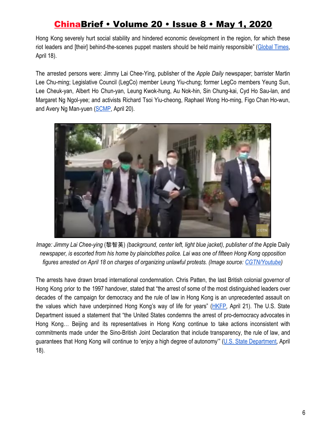Hong Kong severely hurt social stability and hindered economic development in the region, for which these riot leaders and [their] behind-the-scenes puppet masters should be held mainly responsible" ([Global](https://www.globaltimes.cn/content/1186005.shtml) Times, April 18).

The arrested persons were: Jimmy Lai Chee-Ying, publisher of the *Apple Daily* newspaper; barrister Martin Lee Chu-ming; Legislative Council (LegCo) member Leung Yiu-chung; former LegCo members Yeung Sun, Lee Cheuk-yan, Albert Ho Chun-yan, Leung Kwok-hung, Au Nok-hin, Sin Chung-kai, Cyd Ho Sau-lan, and Margaret Ng Ngol-yee; and activists Richard Tsoi Yiu-cheong, Raphael Wong Ho-ming, Figo Chan Ho-wun, and Avery Ng Man-yuen [\(SCMP,](https://www.scmp.com/video/hong-kong/3080733/wave-arrests-hong-kong-pro-democracy-figures-draws-global-criticism) April 20).



*Image: Jimmy Lai Chee-ying* (黎智英) *(background, center left, light blue jacket), publisher of the* Apple Daily *newspaper, is escorted from his home by plainclothes police. Lai was one of fifteen Hong Kong opposition figures arrested on April 18 on charges of organizing unlawful protests. (Image source: [CGTN/Youtube](https://www.youtube.com/watch?v=pKWlBumA04g))*

The arrests have drawn broad international condemnation. Chris Patten, the last British colonial governor of Hong Kong prior to the 1997 handover, stated that "the arrest of some of the most distinguished leaders over decades of the campaign for democracy and the rule of law in Hong Kong is an unprecedented assault on the values which have underpinned Hong Kong's way of life for years" ([HKFP,](https://hongkongfp.com/2020/04/21/crisis-and-opportunity-beijing-pounces-on-hong-kongs-opposition-as-covid-19-keeps-protesters-at-bay/) April 21). The U.S. State Department issued a statement that "the United States condemns the arrest of pro-democracy advocates in Hong Kong… Beijing and its representatives in Hong Kong continue to take actions inconsistent with commitments made under the Sino-British Joint Declaration that include transparency, the rule of law, and guarantees that Hong Kong will continue to 'enjoy a high degree of autonomy'" (U.S. State [Department,](https://www.state.gov/recent-arrests-of-pro-democracy-activists-in-hong-kong/) April 18).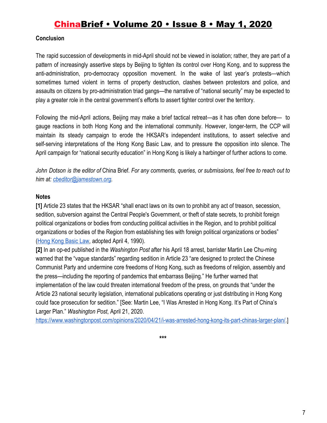### **Conclusion**

The rapid succession of developments in mid-April should not be viewed in isolation; rather, they are part of a pattern of increasingly assertive steps by Beijing to tighten its control over Hong Kong, and to suppress the anti-administration, pro-democracy opposition movement. In the wake of last year's protests—which sometimes turned violent in terms of property destruction, clashes between protestors and police, and assaults on citizens by pro-administration triad gangs—the narrative of "national security" may be expected to play a greater role in the central government's efforts to assert tighter control over the territory.

Following the mid-April actions, Beijing may make a brief tactical retreat—as it has often done before— to gauge reactions in both Hong Kong and the international community. However, longer-term, the CCP will maintain its steady campaign to erode the HKSAR's independent institutions, to assert selective and self-serving interpretations of the Hong Kong Basic Law, and to pressure the opposition into silence. The April campaign for "national security education" in Hong Kong is likely a harbinger of further actions to come.

John Dotson is the editor of China Brief. For any comments, queries, or submissions, feel free to reach out to *him at: [cbeditor@jamestown.org](mailto:cbeditor@jamestown.org).*

### **Notes**

**[1]** Article 23 states that the HKSAR "shall enact laws on its own to prohibit any act of treason, secession, sedition, subversion against the Central People's Government, or theft of state secrets, to prohibit foreign political organizations or bodies from conducting political activities in the Region, and to prohibit political organizations or bodies of the Region from establishing ties with foreign political organizations or bodies" [\(Hong Kong Basic Law](http://www.law.hku.hk/hrportal/wp-content/uploads/file/HK-Basic-Law.pdf), adopted April 4, 1990).

**[2]** In an op-ed published in the *Washington Post* after his April 18 arrest, barrister Martin Lee Chu-ming warned that the "vague standards" regarding sedition in Article 23 "are designed to protect the Chinese Communist Party and undermine core freedoms of Hong Kong, such as freedoms of religion, assembly and the press—including the reporting of pandemics that embarrass Beijing." He further warned that implementation of the law could threaten international freedom of the press, on grounds that "under the Article 23 national security legislation, international publications operating or just distributing in Hong Kong could face prosecution for sedition." [See: Martin Lee, "I Was Arrested in Hong Kong. It's Part of China's Larger Plan." *Washington Post*, April 21, 2020.

[https://www.washingtonpost.com/opinions/2020/04/21/i-was-arrested-hong-kong-its-part-chinas-larger-plan/.](https://www.washingtonpost.com/opinions/2020/04/21/i-was-arrested-hong-kong-its-part-chinas-larger-plan/)]

**\*\*\***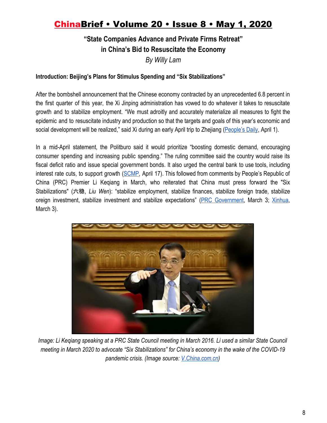### **"State Companies Advance and Private Firms Retreat" in China's Bid to Resuscitate the Economy** *By Willy Lam*

### **Introduction: Beijing's Plans for Stimulus Spending and "Six Stabilizations"**

After the bombshell announcement that the Chinese economy contracted by an unprecedented 6.8 percent in the first quarter of this year, the Xi Jinping administration has vowed to do whatever it takes to resuscitate growth and to stabilize employment. "We must adroitly and accurately materialize all measures to fight the epidemic and to resuscitate industry and production so that the targets and goals of this year's economic and social development will be realized," said Xi during an early April trip to Zhejiang ([People's Daily](http://cpc.people.com.cn/n1/2020/0401/c64094-31657786.html), April 1).

In a mid-April statement, the Politburo said it would prioritize "boosting domestic demand, encouraging consumer spending and increasing public spending." The ruling committee said the country would raise its fiscal deficit ratio and issue special government bonds. It also urged the central bank to use tools, including interest rate cuts, to support growth ([SCMP](https://www.scmp.com/economy/china-economy/article/3080471/coronavirus-chinas-xi-jinping-promises-action-economic-growth), April 17). This followed from comments by People's Republic of China (PRC) Premier Li Keqiang in March, who reiterated that China must press forward the "Six Stabilizations" (六稳, *Liu Wen*): "stabilize employment, stabilize finances, stabilize foreign trade, stabilize oreign investment, stabilize investment and stabilize expectations" (PRC [Government](http://big5.www.gov.cn/gate/big5/www.gov.cn/premier/2020-03/03/content_5486442.htm), March 3; [Xinhua](http://www.xinhuanet.com/politics/leaders/2020-03/03/c_1125658251.htm), March 3).



*Image: Li Keqiang speaking at a PRC State Council meeting in March 2016. Li used a similar State Council meeting in March 2020 to advocate "Six Stabilizations" for China's economy in the wake of the COVID-19 pandemic crisis. (Image source: [V.China.com.cn\)](http://v.china.com.cn/news/2016-03/18/content_38062367.htm)*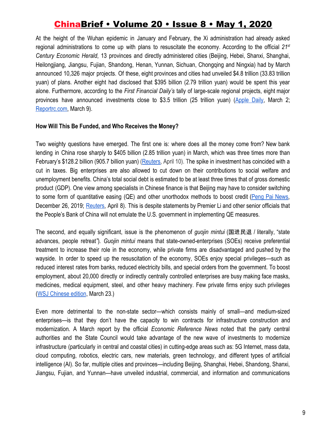At the height of the Wuhan epidemic in January and February, the Xi administration had already asked regional administrations to come up with plans to resuscitate the economy. According to the official *21st Century Economic Herald*, 13 provinces and directly administered cities (Beijing, Hebei, Shanxi, Shanghai, Heilongjiang, Jiangsu, Fujian, Shandong, Henan, Yunnan, Sichuan, Chongqing and Ningxia) had by March announced 10,326 major projects. Of these, eight provinces and cities had unveiled \$4.8 trillion (33.83 trillion yuan) of plans. Another eight had disclosed that \$395 billion (2.79 trillion yuan) would be spent this year alone. Furthermore, according to the *First Financial Daily's* tally of large-scale regional projects, eight major provinces have announced investments close to \$3.5 trillion (25 trillion yuan) ([Apple](https://hk.appledaily.com/finance/20200302/5BINXG32LNZAZ4SYTQ7KKEUXSE/) Daily, March 2[;](https://www.reportrc.com/article/20200309/4741.html) [Reportrc.com](https://www.reportrc.com/article/20200309/4741.html), March 9).

#### **How Will This Be Funded, and Who Receives the Money?**

Two weighty questions have emerged. The first one is: where does all the money come from? New bank lending in China rose sharply to \$405 billion (2.85 trillion yuan) in March, which was three times more than February's \$128.2 billion (905.7 billion yuan) [\(Reuters,](https://www.reuters.com/article/us-china-economy-loans/china-march-loans-surge-to-405-billion-as-coronavirus-stimulus-kicks-in-idUSKCN21S0VY) April 10). The spike in investment has coincided with a cut in taxes. Big enterprises are also allowed to cut down on their contributions to social welfare and unemployment benefits. China's total social debt is estimated to be at least three times that of gross domestic product (GDP). One view among specialists in Chinese finance is that Beijing may have to consider switching to some form of quantitative easing (QE) and other unorthodox methods to boost credit (Peng Pai [News,](https://www.thepaper.cn/newsDetail_forward_5347779) December 26, 2019; [Reuters,](https://www.reuters.com/article/us-health-coronavirus-china-pboc-exclusi/exclusive-chinas-central-bank-to-step-up-easing-wont-borrow-fed-playbook-sources-idUSKBN21Q0JO) April 8). This is despite statements by Premier Li and other senior officials that the People's Bank of China will not emulate the U.S. government in implementing QE measures.

The second, and equally significant, issue is the phenomenon of *guojin mintui* (国进民退 / literally, "state advances, people retreat*"*)*. Guojin mintui* means that state-owned-enterprises (SOEs) receive preferential treatment to increase their role in the economy, while private firms are disadvantaged and pushed by the wayside. In order to speed up the resuscitation of the economy, SOEs enjoy special privileges—such as reduced interest rates from banks, reduced electricity bills, and special orders from the government. To boost employment, about 20,000 directly or indirectly centrally controlled enterprises are busy making face masks, medicines, medical equipment, steel, and other heavy machinery. Few private firms enjoy such privileges [\(WSJ Chinese edition](https://cn.wsj.com/articles/%E4%B8%AD%E5%9B%BD%E6%8A%97%E7%96%AB%E7%AD%96%E7%95%A5%E5%BC%BA%E5%8C%96%E2%80%9C%E5%9B%BD%E8%BF%9B%E6%B0%91%E9%80%80%E2%80%9D-11584591909), March 23.)

Even more detrimental to the non-state sector—which consists mainly of small—and medium-sized enterprises—is that they don't have the capacity to win contracts for infrastructure construction and modernization. A March report by the official *Economic Reference News* noted that the party central authorities and the State Council would take advantage of the new wave of investments to modernize infrastructure (particularly in central and coastal cities) in cutting-edge areas such as: 5G Internet, mass data, cloud computing, robotics, electric cars, new materials, green technology, and different types of artificial intelligence (AI). So far, multiple cities and provinces—including Beijing, Shanghai, Hebei, Shandong, Shanxi, Jiangsu, Fujian, and Yunnan—have unveiled industrial, commercial, and information and communications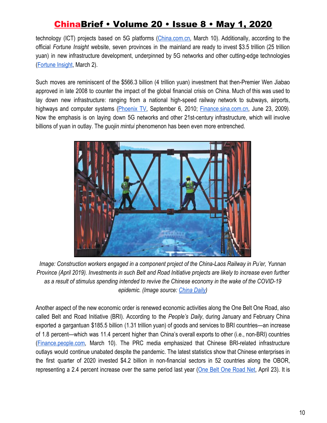technology (ICT) projects based on 5G platforms ([China.com.cn,](http://ydyl.china.com.cn/2020-03/10/content_75795613.htm) March 10). Additionally, according to the official *Fortune Insight* website, seven provinces in the mainland are ready to invest \$3.5 trillion (25 trillion yuan) in new infrastructure development, underpinned by 5G networks and other cutting-edge technologies [\(Fortune Insight,](https://fortuneinsight.com/web/posts/487000) March 2).

Such moves are reminiscent of the \$566.3 billion (4 trillion yuan) investment that then-Premier Wen Jiabao approved in late 2008 to counter the impact of the global financial crisis on China. Much of this was used to lay down new infrastructure: ranging from a national high-speed railway network to subways, airports, highways and computer systems ([Phoenix](http://finance.ifeng.com/opinion/fhzl/20100906/2591314.shtml) TV, September 6, 2010[;](http://finance.sina.com.cn/g/20090623/15416387459.shtml) [Finance.sina.com.cn](http://finance.sina.com.cn/g/20090623/15416387459.shtml), June 23, 2009). Now the emphasis is on laying down 5G networks and other 21st-century infrastructure, which will involve billions of yuan in outlay. The *guojin mintui* phenomenon has been even more entrenched.



*Image: Construction workers engaged in a component project of the China-Laos Railway in Pu'er, Yunnan Province (April 2019). Investments in such Belt and Road Initiative projects are likely to increase even further as a result of stimulus spending intended to revive the Chinese economy in the wake of the COVID-19 epidemic. (Image source: [China Daily](https://global.chinadaily.com.cn/a/201909/30/WS5d9160e4a310cf3e3556e4a0.html))*

Another aspect of the new economic order is renewed economic activities along the One Belt One Road, also called Belt and Road Initiative (BRI). According to the *People's Daily*, during January and February China exported a gargantuan \$185.5 billion (1.31 trillion yuan) of goods and services to BRI countries—an increase of 1.8 percent—which was 11.4 percent higher than China's overall exports to other (i.e., non-BRI) countries [\(Finance.people.com,](http://finance.people.com.cn/n1/2020/0310/c1004-31624392.html) March 10). The PRC media emphasized that Chinese BRI-related infrastructure outlays would continue unabated despite the pandemic. The latest statistics show that Chinese enterprises in the first quarter of 2020 invested \$4.2 billion in non-financial sectors in 52 countries along the OBOR, representing a 2.4 percent increase over the same period last year (One Belt One [Road](https://baijiahao.baidu.com/s?id=1664760629412641510&wfr=spider&for=pc) Net, April 23). It is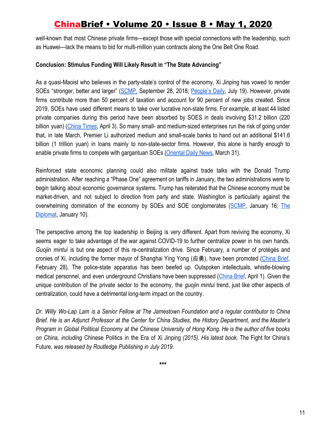well-known that most Chinese private firms—except those with special connections with the leadership, such as Huawei—lack the means to bid for multi-million yuan contracts along the One Belt One Road.

### **Conclusion: Stimulus Funding Will Likely Result in "The State Advancing"**

As a quasi-Maoist who believes in the party-state's control of the economy, Xi Jinping has vowed to render SOEs "stronger, better and larger" [\(SCMP,](https://www.scmp.com/economy/china-economy/article/2166261/chinese-president-xi-jinpings-show-support-state-owned-firms) September 28, 2018[;](http://theory.people.com.cn/n1/2018/0719/c40531-30158166.html) [People's](http://theory.people.com.cn/n1/2018/0719/c40531-30158166.html) Daily, July 19). However, private firms contribute more than 50 percent of taxation and account for 90 percent of new jobs created. Since 2019, SOEs have used different means to take over lucrative non-state firms. For example, at least 44 listed private companies during this period have been absorbed by SOES in deals involving \$31.2 billion (220 billion yuan) (China [Times,](https://www.chinatimes.com/newspapers/20200403000123-260301?chdtv) April 3). So many small- and medium-sized enterprises run the risk of going under that, in late March, Premier Li authorized medium and small-scale banks to hand out an additional \$141.6 billion (1 trillion yuan) in loans mainly to non-state-sector firms. However, this alone is hardly enough to enable private firms to compete with gargantuan SOEs [\(Oriental Daily News,](https://hk.on.cc/hk/bkn/cnt/cnnews/20200331/bkn-20200331223233594-0331_00952_001.html) March 31).

Reinforced state economic planning could also militate against trade talks with the Donald Trump administration. After reaching a "Phase One" agreement on tariffs in January, the two administrations were to begin talking about economic governance systems. Trump has reiterated that the Chinese economy must be market-driven, and not subject to direction from party and state. Washington is particularly against the overwhelming domination of the economy by SOEs and SOE conglomerates [\(SCMP](https://www.scmp.com/economy/china-economy/article/3046425/trade-war-china-us-face-tough-reality-ahead-after-pomp-phase), January 16[;](https://thediplomat.com/2020/01/an-endgame-for-beijing-in-the-us-china-trade-negotiations/) [The](https://thediplomat.com/2020/01/an-endgame-for-beijing-in-the-us-china-trade-negotiations/) [Diplomat,](https://thediplomat.com/2020/01/an-endgame-for-beijing-in-the-us-china-trade-negotiations/) January 10).

The perspective among the top leadership in Beijing is very different. Apart from reviving the economy, Xi seems eager to take advantage of the war against COVID-19 to further centralize power in his own hands. *Guojin mintui* is but one aspect of this re-centralization drive. Since February, a number of protégés and cronies of Xi, including the former mayor of Shanghai Ying Yong (应勇), have been promoted [\(China](https://jamestown.org/program/beijing-purges-wuhan-the-ccp-central-authorities-tighten-political-control-over-hubei-province/) Brief, February 28). The police-state apparatus has been beefed up. Outspoken intellectuals, whistle-blowing medical personnel, and even underground Christians have been suppressed ([China](https://jamestown.org/program/the-coronavirus-pandemic-and-the-rise-of-chinese-civil-society/) Brief, April 1). Given the unique contribution of the private sector to the economy, the *guojin mintui* trend, just like other aspects of centralization, could have a detrimental long-term impact on the country.

Dr. Willy Wo-Lap Lam is a Senior Fellow at The Jamestown Foundation and a regular contributor to China Brief. He is an Adjunct Professor at the Center for China Studies, the History Department, and the Master's Program in Global Political Economy at the Chinese University of Hong Kong. He is the author of five books *on China, including* Chinese Politics in the Era of Xi Jinping *(2015). His latest book,* The Fight for China's Future*, was released by Routledge Publishing in July 2019.*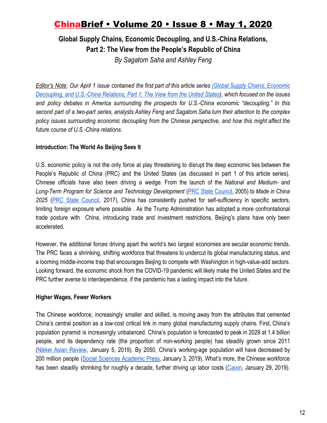**Global Supply Chains, Economic Decoupling, and U.S.-China Relations, Part 2: The View from the People's Republic of China**

*By Sagatom Saha and Ashley Feng*

Editor's Note: Our April 1 issue contained the first part of this article series (Global Supply Chains, [Economic](https://jamestown.org/program/global-supply-chains-economic-decoupling-and-u-s-china-relations-part-1-the-view-from-the-united-states/) [Decoupling,](https://jamestown.org/program/global-supply-chains-economic-decoupling-and-u-s-china-relations-part-1-the-view-from-the-united-states/) and U.S.-China Relations, Part 1: The View from the United States), which focused on the issues *and policy debates in America surrounding the prospects for U.S.-China economic "decoupling." In this* second part of a two-part series, analysts Ashley Feng and Sagatom Saha turn their attention to the complex *policy issues surrounding economic decoupling from the Chinese perspective, and how this might affect the future course of U.S.-China relations.*

### **Introduction: The World As Beijing Sees It**

U.S. economic policy is not the only force at play threatening to disrupt the deep economic ties between the People's Republic of China (PRC) and the United States (as discussed in part 1 of this article series). Chinese officials have also been driving a wedge. From the launch of the *National and Medium- and Long-Term Program for Science and Technology Development* (PRC State [Council](https://www.itu.int/en/ITU-D/Cybersecurity/Documents/National_Strategies_Repository/China_2006.pdf), 2005) to *Made in China 2025* (PRC State [Council,](http://www.gov.cn/zhengce/content/2017-07/27/content_5213735.htm) 2017), China has consistently pushed for self-sufficiency in specific sectors, limiting foreign exposure where possible . As the Trump Administration has adopted a more confrontational trade posture with China, introducing trade and investment restrictions, Beijing's plans have only been accelerated.

However, the additional forces driving apart the world's two largest economies are secular economic trends. The PRC faces a shrinking, shifting workforce that threatens to undercut its global manufacturing status, and a looming middle-income trap that encourages Beijing to compete with Washington in high-value-add sectors. Looking forward, the economic shock from the COVID-19 pandemic will likely make the United States and the PRC further averse to interdependence, if the pandemic has a lasting impact into the future.

### **Higher Wages, Fewer Workers**

The Chinese workforce, increasingly smaller and skilled, is moving away from the attributes that cemented China's central position as a low-cost critical link in many global manufacturing supply chains. First, China's population pyramid is increasingly unbalanced. China's population is forecasted to peak in 2029 at 1.4 billion people, and its dependency rate (the proportion of non-working people) has steadily grown since 2011 (Nikkei Asian [Review,](https://asia.nikkei.com/Politics/China-s-population-forecast-to-peak-at-1.44bn-in-2029) January 5, 2019). By 2050, China's working-age population will have decreased by 200 million people (Social Sciences [Academic](https://www.ssap.com.cn/c/2019-01-03/1074956.shtml) Press, January 3, 2019). What's more, the Chinese workforce has been steadily shrinking for roughly a decade, further driving up labor costs ([Caixin](https://www.caixinglobal.com/2019-01-29/chart-of-the-day-chinas-shrinking-workforce-101375782.html), January 29, 2019).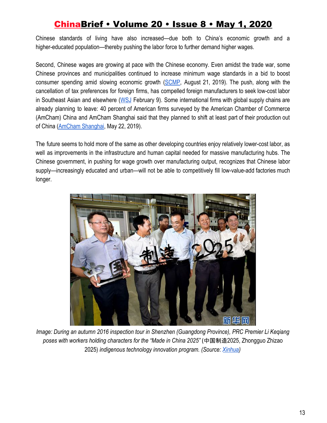Chinese standards of living have also increased—due both to China's economic growth and a higher-educated population—thereby pushing the labor force to further demand higher wages.

Second, Chinese wages are growing at pace with the Chinese economy. Even amidst the trade war, some Chinese provinces and municipalities continued to increase minimum wage standards in a bid to boost consumer spending amid slowing economic growth [\(SCMP,](https://www.scmp.com/economy/china-economy/article/3023724/china-increases-minimum-monthly-wages-despite-soaring-costs) August 21, 2019). The push, along with the cancellation of tax preferences for foreign firms, has compelled foreign manufacturers to seek low-cost labor in Southeast Asian and elsewhere ([WSJ](https://www.wsj.com/articles/u-s-china-trade-war-reshaped-global-commerce-11581244201) February 9). Some international firms with global supply chains are already planning to leave: 40 percent of American firms surveyed by the American Chamber of Commerce (AmCham) China and AmCham Shanghai said that they planned to shift at least part of their production out of China ([AmCham Shanghai,](https://www.amcham-shanghai.org/sites/default/files/2019-05/Joint_survey_on_tariffs_May_2019.pdf) May 22, 2019).

The future seems to hold more of the same as other developing countries enjoy relatively lower-cost labor, as well as improvements in the infrastructure and human capital needed for massive manufacturing hubs. The Chinese government, in pushing for wage growth over manufacturing output, recognizes that Chinese labor supply—increasingly educated and urban—will not be able to competitively fill low-value-add factories much longer.



*Image: During an autumn 2016 inspection tour in Shenzhen (Guangdong Province), PRC Premier Li Keqiang poses with workers holding characters for the "Made in China 2025"* (中国制造2025, Zhongguo Zhizao 2025) *indigenous technology innovation program. (Source: [Xinhua](http://www.xinhuanet.com/politics/2016-10/13/c_1119713679.htm))*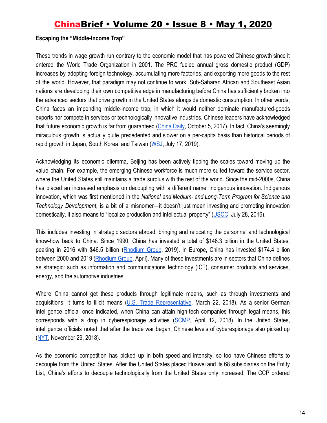### **Escaping the "Middle-Income Trap"**

These trends in wage growth run contrary to the economic model that has powered Chinese growth since it entered the World Trade Organization in 2001. The PRC fueled annual gross domestic product (GDP) increases by adopting foreign technology, accumulating more factories, and exporting more goods to the rest of the world. However, that paradigm may not continue to work. Sub-Saharan African and Southeast Asian nations are developing their own competitive edge in manufacturing before China has sufficiently broken into the advanced sectors that drive growth in the United States alongside domestic consumption. In other words, China faces an impending middle-income trap, in which it would neither dominate manufactured-goods exports nor compete in services or technologically innovative industries. Chinese leaders have acknowledged that future economic growth is far from guaranteed ([China](https://www.chinadaily.com.cn/china/19thcpcnationalcongress/2017-10/05/content_32869258.htm) Daily, October 5, 2017). In fact, China's seemingly miraculous growth is actually quite precedented and slower on a per-capita basis than historical periods of rapid growth in Japan, South Korea, and Taiwan ([WSJ](https://www.wsj.com/articles/chinas-state-driven-growth-model-is-running-out-of-gas-11563372006), July 17, 2019).

Acknowledging its economic dilemma, Beijing has been actively tipping the scales toward moving up the value chain. For example, the emerging Chinese workforce is much more suited toward the service sector, where the United States still maintains a trade surplus with the rest of the world. Since the mid-2000s, China has placed an increased emphasis on decoupling with a different name: indigenous innovation. Indigenous innovation, which was first mentioned in the *National and Medium- and Long-Term Program for Science and Technology Development*, is a bit of a misnomer—it doesn't just mean investing and promoting innovation domestically, it also means to "localize production and intellectual property" ([USCC,](https://www.uscc.gov/sites/default/files/Research/Planning%20for%20Innovation%20-%20Understanding%20China) July 28, 2016).

This includes investing in strategic sectors abroad, bringing and relocating the personnel and technological know-how back to China. Since 1990, China has invested a total of \$148.3 billion in the United States, peaking in 2016 with \$46.5 billion ([Rhodium](https://www.us-china-investment.com/us-china-foreign-direct-investments/data) Group, 2019). In Europe, China has invested \$174.4 billion between 2000 and 2019 [\(Rhodium](https://rhg.com/wp-content/uploads/2020/04/MERICS-Rhodium-Group_COFDI-Update-2020-2.pdf) Group, April). Many of these investments are in sectors that China defines as strategic: such as information and communications technology (ICT), consumer products and services, energy, and the automotive industries.

Where China cannot get these products through legitimate means, such as through investments and acquisitions, it turns to illicit means (U.S. Trade [Representative](https://ustr.gov/sites/default/files/Section%20301%20FINAL.PDF), March 22, 2018). As a senior German intelligence official once indicated, when China can attain high-tech companies through legal means, this corresponds with a drop in cyberespionage activities [\(SCMP,](https://www.scmp.com/news/china/diplomacy-defence/article/2141446/german-spy-chief-warns-dangers-chinese-hi-tech) April 12, 2018). In the United States, intelligence officials noted that after the trade war began, Chinese levels of cyberespionage also picked up [\(NYT,](https://www.nytimes.com/2018/11/29/us/politics/china-trump-cyberespionage.html) November 29, 2018).

As the economic competition has picked up in both speed and intensity, so too have Chinese efforts to decouple from the United States. After the United States placed Huawei and its 68 subsidiaries on the Entity List, China's efforts to decouple technologically from the United States only increased. The CCP ordered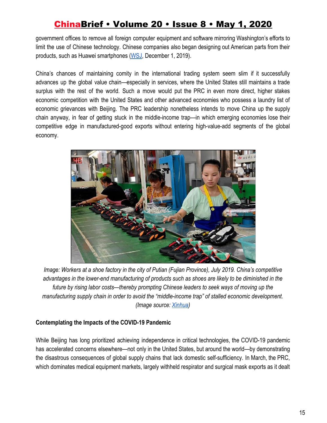government offices to remove all foreign computer equipment and software mirroring Washington's efforts to limit the use of Chinese technology. Chinese companies also began designing out American parts from their products, such as Huawei smartphones [\(WSJ](https://www.wsj.com/articles/huawei-manages-to-make-smartphones-without-american-chips-11575196201), December 1, 2019).

China's chances of maintaining comity in the international trading system seem slim if it successfully advances up the global value chain—especially in services, where the United States still maintains a trade surplus with the rest of the world. Such a move would put the PRC in even more direct, higher stakes economic competition with the United States and other advanced economies who possess a laundry list of economic grievances with Beijing. The PRC leadership nonetheless intends to move China up the supply chain anyway, in fear of getting stuck in the middle-income trap—in which emerging economies lose their competitive edge in manufactured-good exports without entering high-value-add segments of the global economy.



*Image: Workers at a shoe factory in the city of Putian (Fujian Province), July 2019. China's competitive advantages in the lower-end manufacturing of products such as shoes are likely to be diminished in the future by rising labor costs*—*thereby prompting Chinese leaders to seek ways of moving up the manufacturing supply chain in order to avoid the "middle-income trap" of stalled economic development. (Image source: [Xinhua](http://www.xinhuanet.com/english/2019-07/27/c_138263411_2.htm))*

### **Contemplating the Impacts of the COVID-19 Pandemic**

While Beijing has long prioritized achieving independence in critical technologies, the COVID-19 pandemic has accelerated concerns elsewhere—not only in the United States, but around the world—by demonstrating the disastrous consequences of global supply chains that lack domestic self-sufficiency. In March, the PRC, which dominates medical equipment markets, largely withheld respirator and surgical mask exports as it dealt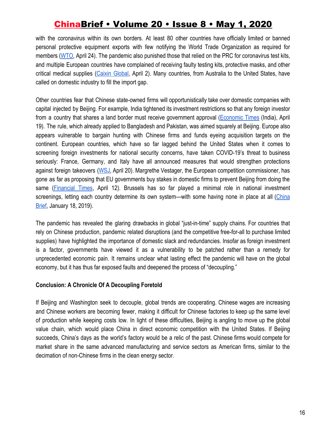with the coronavirus within its own borders. At least 80 other countries have officially limited or banned personal protective equipment exports with few notifying the World Trade Organization as required for members [\(WTO,](https://www.reuters.com/article/us-health-coronavirus-trade-wto/wto-report-says-80-countries-limiting-exports-of-face-masks-other-goods-idUSKCN2253IX) April 24). The pandemic also punished those that relied on the PRC for coronavirus test kits, and multiple European countries have complained of receiving faulty testing kits, protective masks, and other critical medical supplies (Caixin [Global,](https://www.caixinglobal.com/2020-04-02/china-bans-export-of-uncertified-medical-supplies-101537993.html) April 2). Many countries, from Australia to the United States, have called on domestic industry to fill the import gap.

Other countries fear that Chinese state-owned firms will opportunistically take over domestic companies with capital injected by Beijing. For example, India tightened its investment restrictions so that any foreign investor from a country that shares a land border must receive government approval [\(Economic](https://economictimes.indiatimes.com/news/economy/policy/india-notifies-fdi-policy-change-mandating-prior-nod-for-border-sharing-nations/articleshow/75304564.cms) Times (India), April 19). The rule, which already applied to Bangladesh and Pakistan, was aimed squarely at Beijing. Europe also appears vulnerable to bargain hunting with Chinese firms and funds eyeing acquisition targets on the continent. European countries, which have so far lagged behind the United States when it comes to screening foreign investments for national security concerns, have taken COVID-19's threat to business seriously: France, Germany, and Italy have all announced measures that would strengthen protections against foreign takeovers [\(WSJ,](https://www.wsj.com/articles/coronavirus-accelerates-european-efforts-to-block-foreign-takeovers-11586516403) April 20). Margrethe Vestager, the European competition commissioner, has gone as far as proposing that EU governments buy stakes in domestic firms to prevent Beijing from doing the same [\(Financial](https://www.ft.com/content/e14f24c7-e47a-4c22-8cf3-f629da62b0a7) Times, April 12). Brussels has so far played a minimal role in national investment screenings, letting each country determine its own system—with some having none in place at all ([China](https://jamestown.org/program/emerging-eu-policies-take-a-harder-look-at-chinese-investments/) [Brief](https://jamestown.org/program/emerging-eu-policies-take-a-harder-look-at-chinese-investments/), January 18, 2019).

The pandemic has revealed the glaring drawbacks in global "just-in-time" supply chains. For countries that rely on Chinese production, pandemic related disruptions (and the competitive free-for-all to purchase limited supplies) have highlighted the importance of domestic slack and redundancies. Insofar as foreign investment is a factor, governments have viewed it as a vulnerability to be patched rather than a remedy for unprecedented economic pain. It remains unclear what lasting effect the pandemic will have on the global economy, but it has thus far exposed faults and deepened the process of "decoupling."

#### **Conclusion: A Chronicle Of A Decoupling Foretold**

If Beijing and Washington seek to decouple, global trends are cooperating. Chinese wages are increasing and Chinese workers are becoming fewer, making it difficult for Chinese factories to keep up the same level of production while keeping costs low. In light of these difficulties, Beijing is angling to move up the global value chain, which would place China in direct economic competition with the United States. If Beijing succeeds, China's days as the world's factory would be a relic of the past. Chinese firms would compete for market share in the same advanced manufacturing and service sectors as American firms, similar to the decimation of non-Chinese firms in the clean energy sector.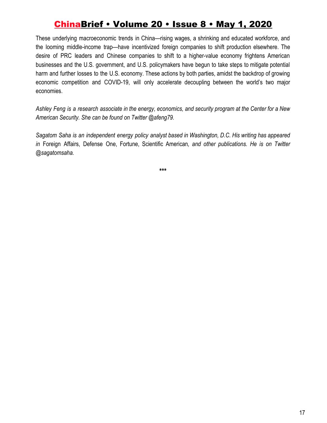These underlying macroeconomic trends in China—rising wages, a shrinking and educated workforce, and the looming middle-income trap—have incentivized foreign companies to shift production elsewhere. The desire of PRC leaders and Chinese companies to shift to a higher-value economy frightens American businesses and the U.S. government, and U.S. policymakers have begun to take steps to mitigate potential harm and further losses to the U.S. economy. These actions by both parties, amidst the backdrop of growing economic competition and COVID-19, will only accelerate decoupling between the world's two major economies.

Ashley Feng is a research associate in the energy, economics, and security program at the Center for a New *American Security. She can be found on Twitter @afeng79.*

*Sagatom Saha is an independent energy policy analyst based in Washington, D.C. His writing has appeared in* Foreign Affairs, Defense One, Fortune, Scientific American*, and other publications. He is on Twitter @sagatomsaha.*

**\*\*\***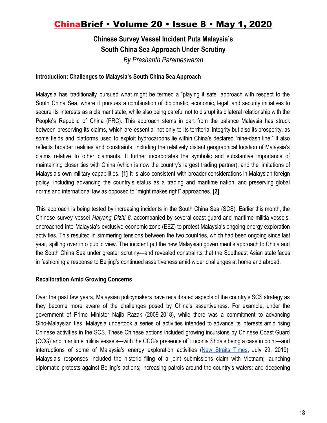# **Chinese Survey Vessel Incident Puts Malaysia's South China Sea Approach Under Scrutiny**

*By Prashanth Parameswaran*

### **Introduction: Challenges to Malaysia's South China Sea Approach**

Malaysia has traditionally pursued what might be termed a "playing it safe" approach with respect to the South China Sea, where it pursues a combination of diplomatic, economic, legal, and security initiatives to secure its interests as a claimant state, while also being careful not to disrupt its bilateral relationship with the People's Republic of China (PRC). This approach stems in part from the balance Malaysia has struck between preserving its claims, which are essential not only to its territorial integrity but also its prosperity, as some fields and platforms used to exploit hydrocarbons lie within China's declared "nine-dash line." It also reflects broader realities and constraints, including the relatively distant geographical location of Malaysia's claims relative to other claimants. It further incorporates the symbolic and substantive importance of maintaining closer ties with China (which is now the country's largest trading partner), and the limitations of Malaysia's own military capabilities. **[1]** It is also consistent with broader considerations in Malaysian foreign policy, including advancing the country's status as a trading and maritime nation, and preserving global norms and international law as opposed to "might makes right" approaches. **[2]**

This approach is being tested by increasing incidents in the South China Sea (SCS). Earlier this month, the Chinese survey vessel *Haiyang Dizhi 8*, accompanied by several coast guard and maritime militia vessels, encroached into Malaysia's exclusive economic zone (EEZ) to protest Malaysia's ongoing energy exploration activities. This resulted in simmering tensions between the two countries, which had been ongoing since last year, spilling over into public view. The incident put the new Malaysian government's approach to China and the South China Sea under greater scrutiny—and revealed constraints that the Southeast Asian state faces in fashioning a response to Beijing's continued assertiveness amid wider challenges at home and abroad.

### **Recalibration Amid Growing Concerns**

Over the past few years, Malaysian policymakers have recalibrated aspects of the country's SCS strategy as they become more aware of the challenges posed by China's assertiveness. For example, under the government of Prime Minister Najib Razak (2009-2018), while there was a commitment to advancing Sino-Malaysian ties, Malaysia undertook a series of activities intended to advance its interests amid rising Chinese activities in the SCS. These Chinese actions included growing incursions by Chinese Coast Guard (CCG) and maritime militia vessels—with the CCG's presence off Luconia Shoals being a case in point—and interruptions of some of Malaysia's energy exploration activities (New [Straits](https://www.nst.com.my/opinion/columnists/2019/07/508330/chinas-rising-maritime-clout) Times, July 29, 2019). Malaysia's responses included the historic filing of a joint submissions claim with Vietnam; launching diplomatic protests against Beijing's actions; increasing patrols around the country's waters; and deepening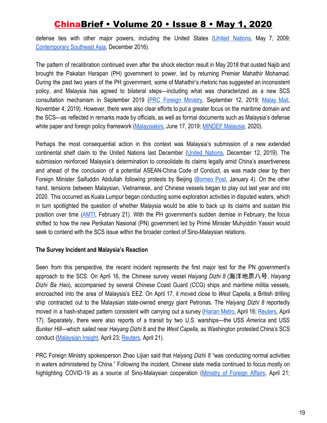defense ties with other major powers, including the United States (United [Nations,](https://www.un.org/depts/los/clcs_new/submissions_files/mysvnm33_09/mys_vnm2009excutivesummary.pdf) May 7, 2009; [Contemporary Southeast Asia](https://www.jstor.org/stable/pdf/24916762.pdf), December 2016).

The pattern of recalibration continued even after the shock election result in May 2018 that ousted Najib and brought the Pakatan Harapan (PH) government to power, led by returning Premier Mahathir Mohamad. During the past two years of the PH government, some of Mahathir's rhetoric has suggested an inconsistent policy, and Malaysia has agreed to bilateral steps—including what was characterized as a new SCS consultation mechanism in September 2019 (PRC Foreign [Ministry,](https://www.fmprc.gov.cn/mfa_eng/zxxx_662805/t1698307.shtml) September 12, 2019[;](https://www.malaymail.com/news/malaysia/2019/11/04/south-china-sea-row-dr-m-says-malaysia-a-small-country-cant-confront-china/1806791) [Malay](https://www.malaymail.com/news/malaysia/2019/11/04/south-china-sea-row-dr-m-says-malaysia-a-small-country-cant-confront-china/1806791) Mail, November 4, 2019). However, there were also clear efforts to put a greater focus on the maritime domain and the SCS—as reflected in remarks made by officials, as well as formal documents such as Malaysia's defense white paper and foreign policy framework ([Malaysiakini](https://www.malaysiakini.com/news/479921), June 17, 2019; [MINDEF Malaysia](http://www.mod.gov.my/en/information/defence-white-paper), 2020).

Perhaps the most consequential action in this context was Malaysia's submission of a new extended continental shelf claim to the United Nations last December (United [Nations,](https://www.un.org/Depts/los/clcs_new/submissions_files/submission_mys_12_12_2019.html) December 12, 2019). The submission reinforced Malaysia's determination to consolidate its claims legally amid China's assertiveness and ahead of the conclusion of a potential ASEAN-China Code of Conduct, as was made clear by then Foreign Minister Saifuddin Abdullah following protests by Beijing ([Borneo](https://www.theborneopost.com/2020/01/04/malaysia-will-continue-claim-on-south-china-sea-area-saifuddin/) Post, January 4). On the other hand, tensions between Malaysian, Vietnamese, and Chinese vessels began to play out last year and into 2020. This occurred as Kuala Lumpur began conducting some exploration activities in disputed waters, which in turn spotlighted the question of whether Malaysia would be able to back up its claims and sustain this position over time [\(AMTI](https://amti.csis.org/malaysia-picks-a-three-way-fight-in-the-south-china-sea/), February 21). With the PH government's sudden demise in February, the focus shifted to how the new Perikatan Nasional (PN) government led by Prime Minister Muhyiddin Yassin would seek to contend with the SCS issue within the broader context of Sino-Malaysian relations.

### **The Survey Incident and Malaysia's Reaction**

Seen from this perspective, the recent incident represents the first major test for the PN government's approach to the SCS. On April 16, the Chinese survey vessel *Haiyang Dizhi 8* (海洋地质八号, *Haiyang Dizhi Ba Hao*), accompanied by several Chinese Coast Guard (CCG) ships and maritime militia vessels, encroached into the area of Malaysia's EEZ. On April 17, it moved close to *West Capella*, a British drilling ship contracted out to the Malaysian state-owned energy giant Petronas. The *Haiyang Dizhi 8* reportedly moved in a hash-shaped pattern consistent with carrying out a survey [\(Harian](https://www.hmetro.com.my/mutakhir/2020/04/567495/kapal-penyelidik-china-dilihat-di-perairan-malaysia) Metro, April 16; [Reuters,](https://www.reuters.com/article/us-malaysia-china-southchinasea/chinese-and-malaysian-ships-in-south-china-sea-standoff-sources-idUSKBN21Z1TN) April 17). Separately, there were also reports of a transit by two U.S. warships—the USS *America* and USS *Bunker Hill*—which sailed near *Haiyang Dizhi* 8 and the *West Capella,* as Washington protested China's SCS conduct [\(Malaysian Insight,](https://www.themalaysianinsight.com/s/240112) April 23; [Reuters](https://www.reuters.com/article/us-china-security-malaysia/two-u-s-warships-in-south-china-sea-amid-china-malaysia-standoff-idUSKBN2230J9), April 21).

PRC Foreign Ministry spokesperson Zhao Lijian said that *Haiyang Dizhi 8* "was conducting normal activities in waters administered by China." Following the incident, Chinese state media continued to focus mostly on highlighting COVID-19 as a source of Sino-Malaysian cooperation [\(Ministry](https://www.fmprc.gov.cn/mfa_eng/xwfw_665399/s2510_665401/2511_665403/t1772006.shtml) of Foreign Affairs, April 21;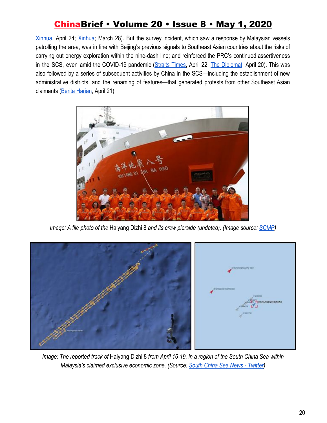[Xinhua,](http://www.xinhuanet.com/english/2020-04/24/c_139005641.htm) April 24[;](http://www.xinhuanet.com/english/2020-03/28/c_138926102_2.htm) [Xinhua](http://www.xinhuanet.com/english/2020-03/28/c_138926102_2.htm); March 28). But the survey incident, which saw a response by Malaysian vessels patrolling the area, was in line with Beijing's previous signals to Southeast Asian countries about the risks of carrying out energy exploration within the nine-dash line; and reinforced the PRC's continued assertiveness in the SCS, even amid the COVID-19 pandemic ([Straits](https://www.straitstimes.com/opinion/st-editorial/no-easing-of-south-china-sea-tensions) Times, April 22[;](https://thediplomat.com/2020/04/maritime-flashpoints-and-the-covid-19-pandemic/) The [Diplomat,](https://thediplomat.com/2020/04/maritime-flashpoints-and-the-covid-19-pandemic/) April 20). This was also followed by a series of subsequent activities by China in the SCS—including the establishment of new administrative districts, and the renaming of features—that generated protests from other Southeast Asian claimants ([Berita Harian,](https://www.bharian.com.my/dunia/asia/2020/04/680007/beijing-menamakan-pulau-dipertikaikan-di-laut-china-selatan) April 21).



*Image: A file photo of the* Haiyang Dizhi 8 *and its crew pierside (undated). (Image source: [SCMP\)](https://www.scmp.com/news/china/diplomacy/article/3018332/beijing-and-hanoi-stand-over-chinese-survey-ship-mission)*



*Image: The reported track of* Haiyang Dizhi 8 *from April 16-19, in a region of the South China Sea within Malaysia's claimed exclusive economic zone. (Source: [South China Sea News - Twitter\)](https://twitter.com/SCS_news/status/1251872379875328001)*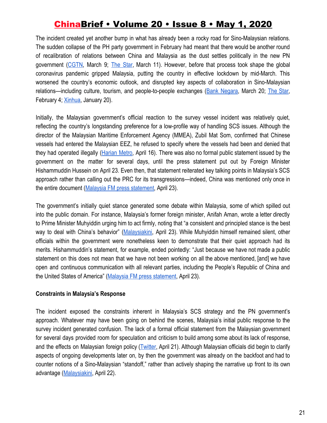The incident created yet another bump in what has already been a rocky road for Sino-Malaysian relations. The sudden collapse of the PH party government in February had meant that there would be another round of recalibration of relations between China and Malaysia as the dust settles politically in the new PN government ([CGTN](https://www.thestar.com.my/news/nation/2020/03/11/forging-closer-china-malaysia-ties), March 9[;](https://www.thestar.com.my/news/nation/2020/03/11/forging-closer-china-malaysia-ties) The [Star](https://www.thestar.com.my/news/nation/2020/03/11/forging-closer-china-malaysia-ties), March 11). However, before that process took shape the global coronavirus pandemic gripped Malaysia, putting the country in effective lockdown by mid-March. This worsened the country's economic outlook, and disrupted key aspects of collaboration in Sino-Malaysian relations—including culture, tourism, and people-to-people exchanges (Bank [Negara,](https://www.bnm.gov.my/index.php?ch=en_press&pg=en_press&ac=5026&lang=en) March 20; The [Star,](https://www.thestar.com.my/news/nation/2020/02/04/muhyiddin-147-china-nationals-denied-entry-into-m039sia-since-jan-27) February 4[;](http://www.xinhuanet.com/english/2020-01/20/c_138719893_2.htm) [Xinhua,](http://www.xinhuanet.com/english/2020-01/20/c_138719893_2.htm) January 20).

Initially, the Malaysian government's official reaction to the survey vessel incident was relatively quiet, reflecting the country's longstanding preference for a low-profile way of handling SCS issues. Although the director of the Malaysian Maritime Enforcement Agency (MMEA), Zubil Mat Som, confirmed that Chinese vessels had entered the Malaysian EEZ, he refused to specify where the vessels had been and denied that they had operated illegally [\(Harian](https://www.hmetro.com.my/mutakhir/2020/04/567495/kapal-penyelidik-china-dilihat-di-perairan-malaysia) Metro, April 16). There was also no formal public statement issued by the government on the matter for several days, until the press statement put out by Foreign Minister Hishammuddin Hussein on April 23. Even then, that statement reiterated key talking points in Malaysia's SCS approach rather than calling out the PRC for its transgressions—indeed, China was mentioned only once in the entire document ([Malaysia FM press statement,](https://twitter.com/HishammuddinH2O/status/1253184621870583810/photo/1) April 23).

The government's initially quiet stance generated some debate within Malaysia, some of which spilled out into the public domain. For instance, Malaysia's former foreign minister, Anifah Aman, wrote a letter directly to Prime Minister Muhyiddin urging him to act firmly, noting that "a consistent and principled stance is the best way to deal with China's behavior" [\(Malaysiakini,](https://www.malaysiakini.com/news/522208) April 23). While Muhyiddin himself remained silent, other officials within the government were nonetheless keen to demonstrate that their quiet approach had its merits. Hishammuddin's statement, for example, ended pointedly: "Just because we have not made a public statement on this does not mean that we have not been working on all the above mentioned, [and] we have open and continuous communication with all relevant parties, including the People's Republic of China and the United States of America" ([Malaysia FM press statement](https://twitter.com/HishammuddinH2O/status/1253184621870583810/photo/1), April 23).

### **Constraints in Malaysia's Response**

The incident exposed the constraints inherent in Malaysia's SCS strategy and the PN government's approach. Whatever may have been going on behind the scenes, Malaysia's initial public response to the survey incident generated confusion. The lack of a formal official statement from the Malaysian government for several days provided room for speculation and criticism to build among some about its lack of response, and the effects on Malaysian foreign policy [\(Twitter](https://twitter.com/niknazmi/status/1252769818366836737), April 21). Although Malaysian officials did begin to clarify aspects of ongoing developments later on, by then the government was already on the backfoot and had to counter notions of a Sino-Malaysian "standoff," rather than actively shaping the narrative up front to its own advantage ([Malaysiakini](https://www.malaysiakini.com/news/522087), April 22).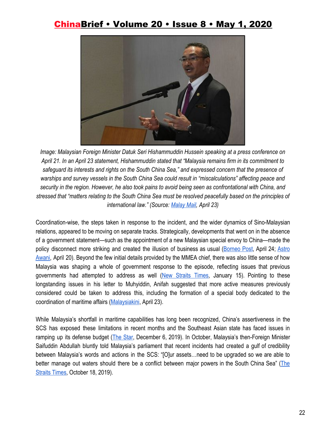

*Image: Malaysian Foreign Minister Datuk Seri Hishammuddin Hussein speaking at a press conference on April 21. In an April 23 statement, Hishammuddin stated that "Malaysia remains firm in its commitment to safeguard its interests and rights on the South China Sea," and expressed concern that the presence of warships and survey vessels in the South China Sea could result in "miscalculations" affecting peace and security in the region. However, he also took pains to avoid being seen as confrontational with China, and stressed that "matters relating to the South China Sea must be resolved peacefully based on the principles of international law." (Source[:](https://www.malaymail.com/news/malaysia/2020/04/23/foreign-minister-malaysia-firm-in-commitment-to-safeguard-s.-china-sea-inte/1859497) [Malay Mail,](https://www.malaymail.com/news/malaysia/2020/04/23/foreign-minister-malaysia-firm-in-commitment-to-safeguard-s.-china-sea-inte/1859497) April 23)*

Coordination-wise, the steps taken in response to the incident, and the wider dynamics of Sino-Malaysian relations, appeared to be moving on separate tracks. Strategically, developments that went on in the absence of a government statement—such as the appointment of a new Malaysian special envoy to China—made the policy disconnect more striking and created the illusion of business as usual [\(Borneo](https://www.theborneopost.com/2020/04/24/tiong-welcomes-suggestions-on-improving-relationship-with-china/) Post, April 24; [Astro](http://www.astroawani.com/berita-malaysia/tiong-king-sing-dilantik-sebagai-duta-khas-kepada-perdana-menteri-ke-china-239307) [Awani,](http://www.astroawani.com/berita-malaysia/tiong-king-sing-dilantik-sebagai-duta-khas-kepada-perdana-menteri-ke-china-239307) April 20). Beyond the few initial details provided by the MMEA chief, there was also little sense of how Malaysia was shaping a whole of government response to the episode, reflecting issues that previous governments had attempted to address as well (New [Straits](https://www.nst.com.my/opinion/letters/2020/01/556868/maritime-aspirations-challenge) Times, January 15). Pointing to these longstanding issues in his letter to Muhyiddin, Anifah suggested that more active measures previously considered could be taken to address this, including the formation of a special body dedicated to the coordination of maritime affairs ([Malaysiakini](https://www.malaysiakini.com/news/522208), April 23).

While Malaysia's shortfall in maritime capabilities has long been recognized, China's assertiveness in the SCS has exposed these limitations in recent months and the Southeast Asian state has faced issues in ramping up its defense budget (*The [Star](https://www.thestar.com.my/news/nation/2019/12/06/experts-increase-defence-budget)*, December 6, 2019). In October, Malaysia's then-Foreign Minister Saifuddin Abdullah bluntly told Malaysia's parliament that recent incidents had created a gulf of credibility between Malaysia's words and actions in the SCS: "[O]ur assets…need to be upgraded so we are able to better manage out waters should there be a conflict between major powers in the South China Sea" ([The](https://www.straitstimes.com/asia/se-asia/malaysia-needs-naval-boost-to-deal-with-possible-s-china-sea-conflict) [Straits Times](https://www.straitstimes.com/asia/se-asia/malaysia-needs-naval-boost-to-deal-with-possible-s-china-sea-conflict), October 18, 2019).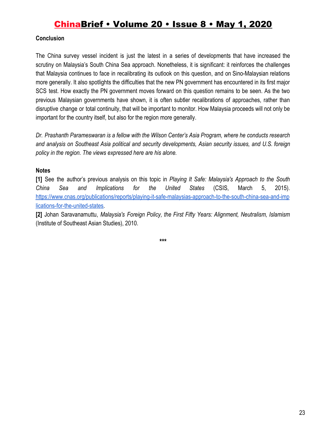### **Conclusion**

The China survey vessel incident is just the latest in a series of developments that have increased the scrutiny on Malaysia's South China Sea approach. Nonetheless, it is significant: it reinforces the challenges that Malaysia continues to face in recalibrating its outlook on this question, and on Sino-Malaysian relations more generally. It also spotlights the difficulties that the new PN government has encountered in its first major SCS test. How exactly the PN government moves forward on this question remains to be seen. As the two previous Malaysian governments have shown, it is often subtler recalibrations of approaches, rather than disruptive change or total continuity, that will be important to monitor. How Malaysia proceeds will not only be important for the country itself, but also for the region more generally.

*Dr. Prashanth Parameswaran is a fellow with the Wilson Center's Asia Program, where he conducts research and analysis on Southeast Asia political and security developments, Asian security issues, and U.S. foreign policy in the region. The views expressed here are his alone.*

### **Notes**

**[1]** See the author's previous analysis on this topic in *Playing It Safe: Malaysia's Approach to the South China Sea and Implications for the United States* (CSIS, March 5, 2015)[.](https://www.cnas.org/publications/reports/playing-it-safe-malaysias-approach-to-the-south-china-sea-and-implications-for-the-united-states) [https://www.cnas.org/publications/reports/playing-it-safe-malaysias-approach-to-the-south-china-sea-and-imp](https://www.cnas.org/publications/reports/playing-it-safe-malaysias-approach-to-the-south-china-sea-and-implications-for-the-united-states) [lications-for-the-united-states.](https://www.cnas.org/publications/reports/playing-it-safe-malaysias-approach-to-the-south-china-sea-and-implications-for-the-united-states)

**[2]** Johan Saravanamuttu, *Malaysia's Foreign Policy, the First Fifty Years: Alignment, Neutralism, Islamism* (Institute of Southeast Asian Studies), 2010.

**\*\*\***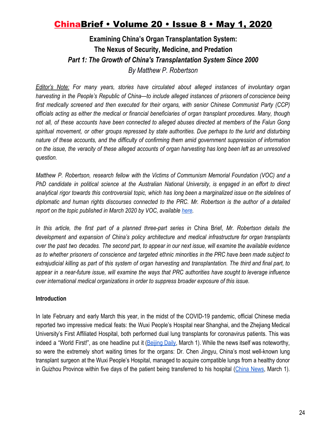### **Examining China's Organ Transplantation System: The Nexus of Security, Medicine, and Predation** *Part 1: The Growth of China's Transplantation System Since 2000 By Matthew P. Robertson*

*Editor's Note: For many years, stories have circulated about alleged instances of involuntary organ harvesting in the People's Republic of China—to include alleged instances of prisoners of conscience being first medically screened and then executed for their organs, with senior Chinese Communist Party (CCP) officials acting as either the medical or financial beneficiaries of organ transplant procedures. Many, though* not all, of these accounts have been connected to alleged abuses directed at members of the Falun Gong *spiritual movement, or other groups repressed by state authorities. Due perhaps to the lurid and disturbing nature of these accounts, and the difficulty of confirming them amid government suppression of information* on the issue, the veracity of these alleged accounts of organ harvesting has long been left as an unresolved *question.*

*Matthew P. Robertson, research fellow with the Victims of Communism Memorial Foundation (VOC) and a* PhD candidate in political science at the Australian National University, is engaged in an effort to direct analytical rigor towards this controversial topic, which has long been a marginalized issue on the sidelines of *diplomatic and human rights discourses connected to the PRC. Mr. Robertson is the author of a detailed report on the topic published in March 2020 by VOC, available [here](https://www.victimsofcommunism.org/china-organ-procurement-report-2020).*

*In this article, the first part of a planned three-part series in* China Brief*, Mr. Robertson details the development and expansion of China's policy architecture and medical infrastructure for organ transplants* over the past two decades. The second part, to appear in our next issue, will examine the available evidence as to whether prisoners of conscience and targeted ethnic minorities in the PRC have been made subject to extrajudicial killing as part of this system of organ harvesting and transplantation. The third and final part, to appear in a near-future issue, will examine the ways that PRC authorities have sought to leverage influence *over international medical organizations in order to suppress broader exposure of this issue.*

### **Introduction**

In late February and early March this year, in the midst of the COVID-19 pandemic, official Chinese media reported two impressive medical feats: the Wuxi People's Hospital near Shanghai, and the Zhejiang Medical University's First Affiliated Hospital, both performed dual lung transplants for coronavirus patients. This was indeed a "World First!", as one headline put it [\(Beijing](http://www.bjd.com.cn/a/202003/01/WS5e5b2cd2e4b05d1eff0b3d7c.html) Daily, March 1). While the news itself was noteworthy, so were the extremely short waiting times for the organs: Dr. Chen Jingyu, China's most well-known lung transplant surgeon at the Wuxi People's Hospital, managed to acquire compatible lungs from a healthy donor in Guizhou Province within five days of the patient being transferred to his hospital ([China](https://m.chinanews.com/wap/detail/zw/sh/2020/03-01/9109705.shtml) News, March 1).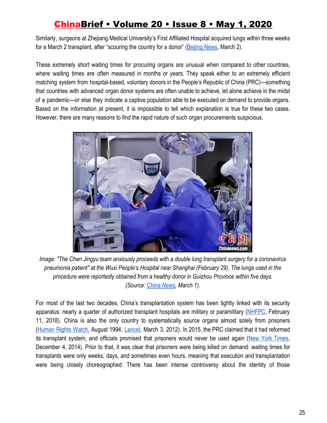Similarly, surgeons at Zhejiang Medical University's First Affiliated Hospital acquired lungs within three weeks for a March 2 transplant, after "scouring the country for a donor" [\(Beijing News](http://www.bjnews.com.cn/news/2020/03/02/698066.html), March 2).

These extremely short waiting times for procuring organs are unusual when compared to other countries, where waiting times are often measured in months or years. They speak either to an extremely efficient matching system from hospital-based, voluntary donors in the People's Republic of China (PRC)—something that countries with advanced organ donor systems are often unable to achieve, let alone achieve in the midst of a pandemic—or else they indicate a captive population able to be executed on demand to provide organs. Based on the information at present, it is impossible to tell which explanation is true for these two cases. However, there are many reasons to find the rapid nature of such organ procurements suspicious.



*Image: "The Chen Jingyu team anxiously proceeds with a double lung transplant surgery for a coronavirus pneumonia patient" at the Wuxi People's Hospital near Shanghai (February 29). The lungs used in the procedure were reportedly obtained from a healthy donor in Guizhou Province within five days. (Source[:](https://m.chinanews.com/wap/detail/zw/sh/2020/03-01/9109705.shtml) [China News,](https://m.chinanews.com/wap/detail/zw/sh/2020/03-01/9109705.shtml) March 1).*

For most of the last two decades, China's transplantation system has been tightly linked with its security apparatus: nearly a quarter of authorized transplant hospitals are military or paramilitary ([NHFPC](https://web.archive.org/web/20181216133407/http:/www.nhfpc.gov.cn:80/zhuz/yzjg/201705/4a3bb274fff6489a91f2a17df3438e54.shtml), February 11, 2018). China is also the only country to systematically source organs almost solely from prisoners [\(Human](https://www.hrw.org/reports/1994/china1/china_948.htm) Rights Watch, August 1994; [Lancet](https://www.thelancet.com/journals/lancet/article/PIIS0140-6736(11)61086-6/fulltext), March 3, 2012). In 2015, the PRC claimed that it had reformed its transplant system, and officials promised that prisoners would never be used again (New York [Times,](https://sinosphere.blogs.nytimes.com/2014/12/04/china-sets-jan-1-deadline-for-ending-transplants-from-executed-prisoners/) December 4, 2014). Prior to that, it was clear that prisoners were being killed on demand: waiting times for transplants were only weeks, days, and sometimes even hours, meaning that execution and transplantation were being closely choreographed. There has been intense controversy about the identity of those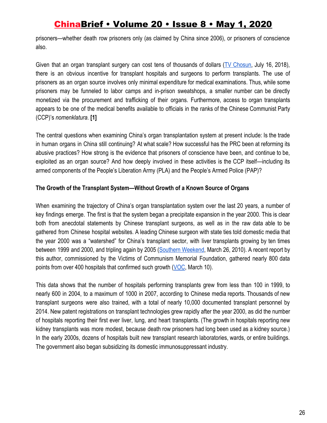prisoners—whether death row prisoners only (as claimed by China since 2006), or prisoners of conscience also.

Given that an organ transplant surgery can cost tens of thousands of dollars (TV [Chosun](https://vimeo.com/280284321), July 16, 2018), there is an obvious incentive for transplant hospitals and surgeons to perform transplants. The use of prisoners as an organ source involves only minimal expenditure for medical examinations. Thus, while some prisoners may be funneled to labor camps and in-prison sweatshops, a smaller number can be directly monetized via the procurement and trafficking of their organs. Furthermore, access to organ transplants appears to be one of the medical benefits available to officials in the ranks of the Chinese Communist Party (CCP)'s *nomenklatura*. **[1]**

The central questions when examining China's organ transplantation system at present include: Is the trade in human organs in China still continuing? At what scale? How successful has the PRC been at reforming its abusive practices? How strong is the evidence that prisoners of conscience have been, and continue to be, exploited as an organ source? And how deeply involved in these activities is the CCP itself—including its armed components of the People's Liberation Army (PLA) and the People's Armed Police (PAP)?

### **The Growth of the Transplant System—Without Growth of a Known Source of Organs**

When examining the trajectory of China's organ transplantation system over the last 20 years, a number of key findings emerge. The first is that the system began a precipitate expansion in the year 2000. This is clear both from anecdotal statements by Chinese transplant surgeons, as well as in the raw data able to be gathered from Chinese hospital websites. A leading Chinese surgeon with state ties told domestic media that the year 2000 was a "watershed" for China's transplant sector, with liver transplants growing by ten times between 1999 and 2000, and tripling again by 2005 (Southern [Weekend](https://news.qq.com/a/20100326/001405_1.htm), March 26, 2010). A recent report by this author, commissioned by the Victims of Communism Memorial Foundation, gathered nearly 800 data points from over 400 hospitals that confirmed such growth ([VOC](https://static1.squarespace.com/static/5aa6d4759772aebd11e6fe04/t/5e628619cf65b0241d5b0020/1583515189395/Organ+Procurement+and+Extrajudicial+Execution+in+China_VOC+2020.pdf), March 10).

This data shows that the number of hospitals performing transplants grew from less than 100 in 1999, to nearly 600 in 2004, to a maximum of 1000 in 2007, according to Chinese media reports. Thousands of new transplant surgeons were also trained, with a total of nearly 10,000 documented transplant personnel by 2014. New patent registrations on transplant technologies grew rapidly after the year 2000, as did the number of hospitals reporting their first ever liver, lung, and heart transplants. (The growth in hospitals reporting new kidney transplants was more modest, because death row prisoners had long been used as a kidney source.) In the early 2000s, dozens of hospitals built new transplant research laboratories, wards, or entire buildings. The government also began subsidizing its domestic immunosuppressant industry.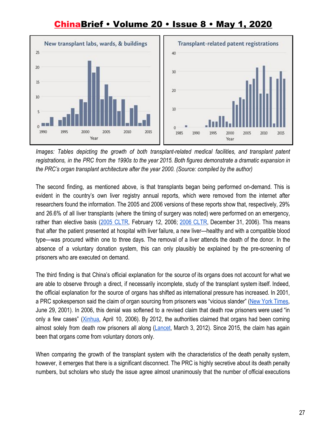

*Images: Tables depicting the growth of both transplant-related medical facilities, and transplant patent* registrations, in the PRC from the 1990s to the year 2015. Both figures demonstrate a dramatic expansion in *the PRC's organ transplant architecture after the year 2000. (Source: compiled by the author)*

The second finding, as mentioned above, is that transplants began being performed on-demand. This is evident in the country's own liver registry annual reports, which were removed from the internet after researchers found the information. The 2005 and 2006 versions of these reports show that, respectively, 29% and 26.6% of all liver transplants (where the timing of surgery was noted) were performed on an emergency, rather than elective basis (2005 [CLTR](https://figshare.com/articles/China_Liver_Transplant_Registry/12152535), February 12, 2006[;](https://figshare.com/articles/China_Liver_Transplant_Registry/12152535) 2006 [CLTR,](https://figshare.com/articles/China_Liver_Transplant_Registry/12152535) December 31, 2006). This means that after the patient presented at hospital with liver failure, a new liver—healthy and with a compatible blood type—was procured within one to three days. The removal of a liver attends the death of the donor. In the absence of a voluntary donation system, this can only plausibly be explained by the pre-screening of prisoners who are executed on demand.

The third finding is that China's official explanation for the source of its organs does not account for what we are able to observe through a direct, if necessarily incomplete, study of the transplant system itself. Indeed, the official explanation for the source of organs has shifted as international pressure has increased. In 2001, a PRC spokesperson said the claim of organ sourcing from prisoners was "vicious slander" (New York [Times,](https://www.nytimes.com/2001/06/29/world/doctor-says-he-took-transplant-organs-from-executed-chinese-prisoners.html) June 29, 2001). In 2006, this denial was softened to a revised claim that death row prisoners were used "in only a few cases" (*Xinhua, April 10, 2006*). By 2012, the authorities claimed that organs had been coming almost solely from death row prisoners all along ([Lancet,](https://www.thelancet.com/journals/lancet/article/PIIS0140-6736(11)61086-6/fulltext) March 3, 2012). Since 2015, the claim has again been that organs come from voluntary donors only.

When comparing the growth of the transplant system with the characteristics of the death penalty system, however, it emerges that there is a significant disconnect. The PRC is highly secretive about its death penalty numbers, but scholars who study the issue agree almost unanimously that the number of official executions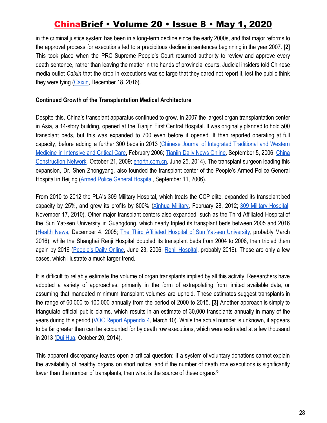in the criminal justice system has been in a long-term decline since the early 2000s, and that major reforms to the approval process for executions led to a precipitous decline in sentences beginning in the year 2007. **[2]** This took place when the PRC Supreme People's Court resumed authority to review and approve every death sentence, rather than leaving the matter in the hands of provincial courts. Judicial insiders told Chinese media outlet *Caixin* that the drop in executions was so large that they dared not report it, lest the public think they were lying ([Caixin,](http://china.caixin.com/2016-12-18/101028169.html) December 18, 2016).

### **Continued Growth of the Transplantation Medical Architecture**

Despite this, China's transplant apparatus continued to grow. In 2007 the largest organ transplantation center in Asia, a 14-story building, opened at the Tianjin First Central Hospital. It was originally planned to hold 500 transplant beds, but this was expanded to 700 even before it opened. It then reported operating at full capacity, before adding a further 300 beds in 2013 (Chinese Journal of Integrated [Traditional](https://web.archive.org/save/_embed/http:/www.cccm-em120.com/zhongxiyiguokan/cccm/pdf/2006-2/1%E6%98%94%E6%97%A5%E6%8B%BC%E6%90%8F%E8%BF%9B%E5%8F%96%20%E4%BB%8A%E6%97%A5%E9%87%8D%E5%BB%BA%E8%BE%89%E7%85%8C%E2%80%94%E2%80%94%E8%91%97%E5%90%8D%E7%A7%BB%E6%A4%8D%E5%AD%A6%E4%B8%93%E5%AE%B6%E6%B2%88%E4%B8%AD%E9%98%B3%E6%95%99%E6%8E%88.pdf) and Western Medicine in [Intensive](https://web.archive.org/save/_embed/http:/www.cccm-em120.com/zhongxiyiguokan/cccm/pdf/2006-2/1%E6%98%94%E6%97%A5%E6%8B%BC%E6%90%8F%E8%BF%9B%E5%8F%96%20%E4%BB%8A%E6%97%A5%E9%87%8D%E5%BB%BA%E8%BE%89%E7%85%8C%E2%80%94%E2%80%94%E8%91%97%E5%90%8D%E7%A7%BB%E6%A4%8D%E5%AD%A6%E4%B8%93%E5%AE%B6%E6%B2%88%E4%B8%AD%E9%98%B3%E6%95%99%E6%8E%88.pdf) and Critical Care, February 2006; [Tianjin](https://archive.is/PC0hS) Daily News Online, September 5, 2006; [China](https://archive.is/yAz3W) [Construction](https://archive.is/yAz3W) Network, October 21, 2009; [enorth.com.cn,](https://archive.is/H1D8F) June 25, 2014). The transplant surgeon leading this expansion, Dr. Shen Zhongyang, also founded the transplant center of the People's Armed Police General Hospital in Beijing ([Armed Police General Hospital,](https://web.archive.org/web/20060911004348/http:/www.wj-hospital.com/expert/wk/gyzzx/173.htm) September 11, 2006).

From 2010 to 2012 the PLA's 309 Military Hospital, which treats the CCP elite, expanded its transplant bed capacity by 25%, and grew its profits by 800% (Xinhua [Military](https://archive.is/wLAPm.), February 28, 2012[;](http://www.309yy.com/_Dept/View.aspx?id=3323) 309 Military [Hospital,](http://www.309yy.com/_Dept/View.aspx?id=3323) November 17, 2010). Other major transplant centers also expanded, such as the Third Affiliated Hospital of the Sun Yat-sen University in Guangdong, which nearly tripled its transplant beds between 2005 and 2016 [\(Health](https://archive.is/4OpEg) News, December 4, 2005; [T](http://archive.is/1lwit)he Third Affiliated Hospital of Sun Yat-sen [University](http://archive.is/1lwit), probably March 2016); while the Shanghai Renji Hospital doubled its transplant beds from 2004 to 2006, then tripled them again by 2016 [\(People's](http://scitech.people.com.cn/GB/1057/4520977.html) Daily Online, June 23, 2006; Renji [Hospital,](https://web.archive.org/web/20190531012505/http:/www.transplantation.sh.cn/about2.asp?id=1&cid=12) probably 2016). These are only a few cases, which illustrate a much larger trend.

It is difficult to reliably estimate the volume of organ transplants implied by all this activity. Researchers have adopted a variety of approaches, primarily in the form of extrapolating from limited available data, or assuming that mandated minimum transplant volumes are upheld. These estimates suggest transplants in the range of 60,000 to 100,000 annually from the period of 2000 to 2015. **[3]** Another approach is simply to triangulate official public claims, which results in an estimate of 30,000 transplants annually in many of the years during this period (VOC Report [Appendix](https://static1.squarespace.com/static/5aa6d4759772aebd11e6fe04/t/5e668b0eb2fd91655fa41ef5/1583778575811/Appendix+4+%28VOC+Organ+Procurement+Report%29.pdf) 4, March 10). While the actual number is unknown, it appears to be far greater than can be accounted for by death row executions, which were estimated at a few thousand in 2013 [\(Dui Hua,](https://duihua.org/china-executed-2400-people-in-2013-dui-hua-2/) October 20, 2014).

This apparent discrepancy leaves open a critical question: If a system of voluntary donations cannot explain the availability of healthy organs on short notice, and if the number of death row executions is significantly lower than the number of transplants, then what is the source of these organs?